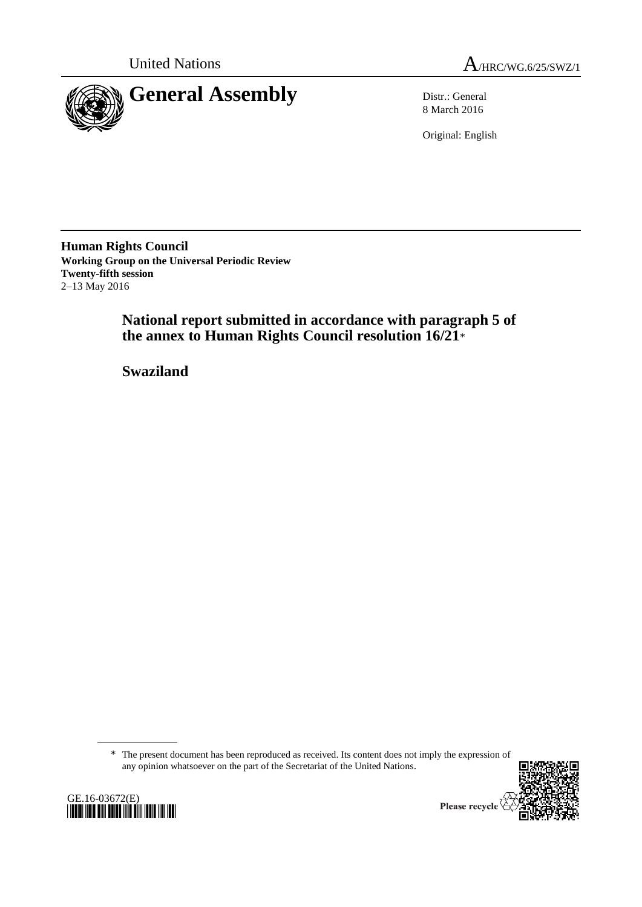



8 March 2016

Original: English

**Human Rights Council Working Group on the Universal Periodic Review Twenty-fifth session** 2–13 May 2016

> **National report submitted in accordance with paragraph 5 of the annex to Human Rights Council resolution 16/21**\*

**Swaziland**

\* The present document has been reproduced as received. Its content does not imply the expression of any opinion whatsoever on the part of the Secretariat of the United Nations.



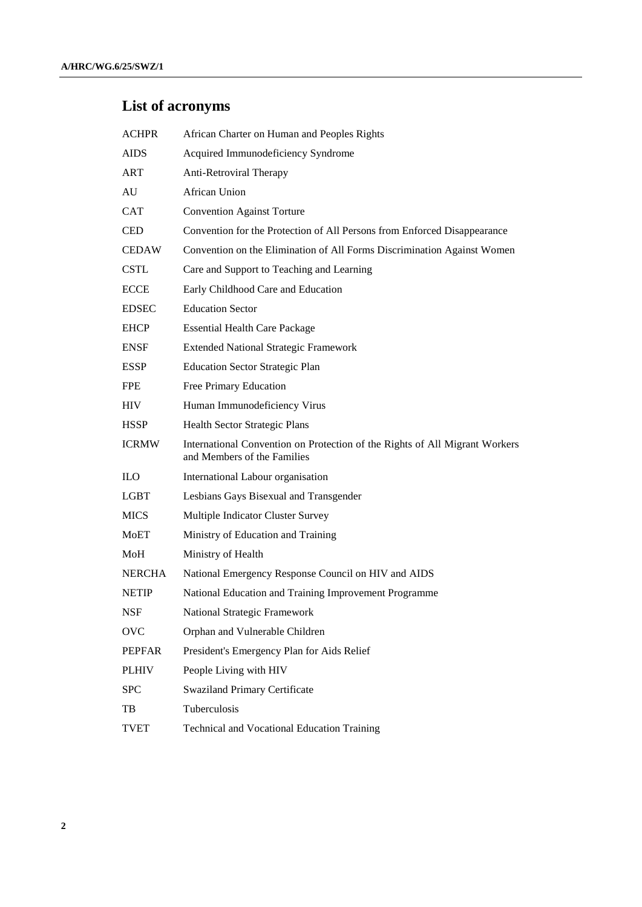# **List of acronyms**

| <b>ACHPR</b>  | African Charter on Human and Peoples Rights                                                                |  |  |
|---------------|------------------------------------------------------------------------------------------------------------|--|--|
| <b>AIDS</b>   | Acquired Immunodeficiency Syndrome                                                                         |  |  |
| <b>ART</b>    | Anti-Retroviral Therapy                                                                                    |  |  |
| AU            | <b>African Union</b>                                                                                       |  |  |
| <b>CAT</b>    | <b>Convention Against Torture</b>                                                                          |  |  |
| <b>CED</b>    | Convention for the Protection of All Persons from Enforced Disappearance                                   |  |  |
| <b>CEDAW</b>  | Convention on the Elimination of All Forms Discrimination Against Women                                    |  |  |
| <b>CSTL</b>   | Care and Support to Teaching and Learning                                                                  |  |  |
| <b>ECCE</b>   | Early Childhood Care and Education                                                                         |  |  |
| <b>EDSEC</b>  | <b>Education Sector</b>                                                                                    |  |  |
| <b>EHCP</b>   | <b>Essential Health Care Package</b>                                                                       |  |  |
| <b>ENSF</b>   | <b>Extended National Strategic Framework</b>                                                               |  |  |
| <b>ESSP</b>   | <b>Education Sector Strategic Plan</b>                                                                     |  |  |
| <b>FPE</b>    | Free Primary Education                                                                                     |  |  |
| <b>HIV</b>    | Human Immunodeficiency Virus                                                                               |  |  |
| <b>HSSP</b>   | Health Sector Strategic Plans                                                                              |  |  |
| <b>ICRMW</b>  | International Convention on Protection of the Rights of All Migrant Workers<br>and Members of the Families |  |  |
| <b>ILO</b>    | International Labour organisation                                                                          |  |  |
| <b>LGBT</b>   | Lesbians Gays Bisexual and Transgender                                                                     |  |  |
| <b>MICS</b>   | Multiple Indicator Cluster Survey                                                                          |  |  |
| <b>MoET</b>   | Ministry of Education and Training                                                                         |  |  |
| MoH           | Ministry of Health                                                                                         |  |  |
| <b>NERCHA</b> | National Emergency Response Council on HIV and AIDS                                                        |  |  |
| <b>NETIP</b>  | National Education and Training Improvement Programme                                                      |  |  |
| <b>NSF</b>    | National Strategic Framework                                                                               |  |  |
| <b>OVC</b>    | Orphan and Vulnerable Children                                                                             |  |  |
| <b>PEPFAR</b> | President's Emergency Plan for Aids Relief                                                                 |  |  |
| <b>PLHIV</b>  | People Living with HIV                                                                                     |  |  |
| <b>SPC</b>    | <b>Swaziland Primary Certificate</b>                                                                       |  |  |
| TB            | Tuberculosis                                                                                               |  |  |
| <b>TVET</b>   | Technical and Vocational Education Training                                                                |  |  |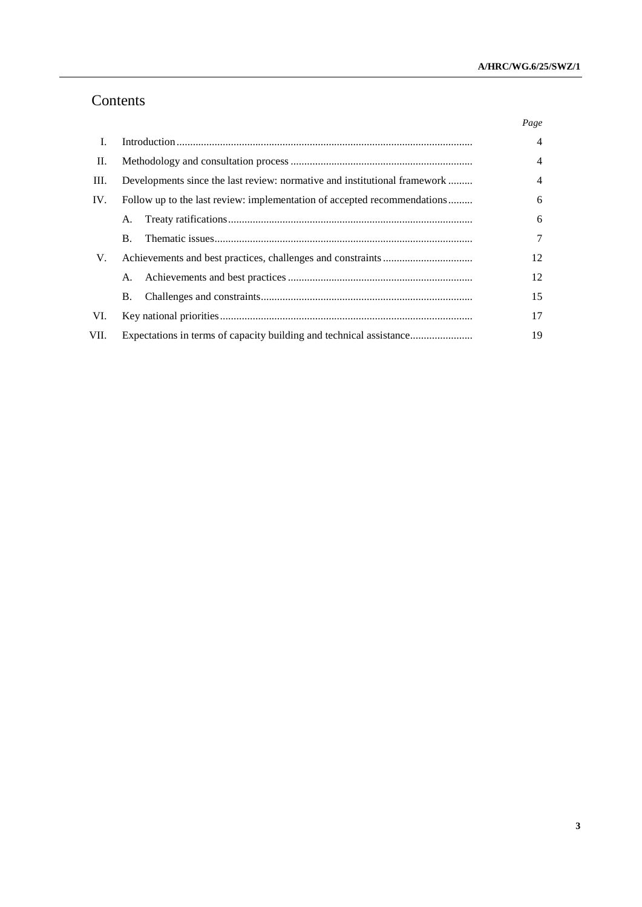## Contents

|      |                                                                                | Page           |
|------|--------------------------------------------------------------------------------|----------------|
| L    |                                                                                | $\overline{4}$ |
| П.   |                                                                                |                |
| Ш.   | Developments since the last review: normative and institutional framework<br>4 |                |
| IV.  | Follow up to the last review: implementation of accepted recommendations       | 6              |
|      | A.                                                                             | 6              |
|      | <b>B.</b>                                                                      | 7              |
| V.   |                                                                                | 12             |
|      | A.                                                                             | 12             |
|      | <b>B.</b>                                                                      | 15             |
| VI.  |                                                                                | 17             |
| VII. | Expectations in terms of capacity building and technical assistance            | 19             |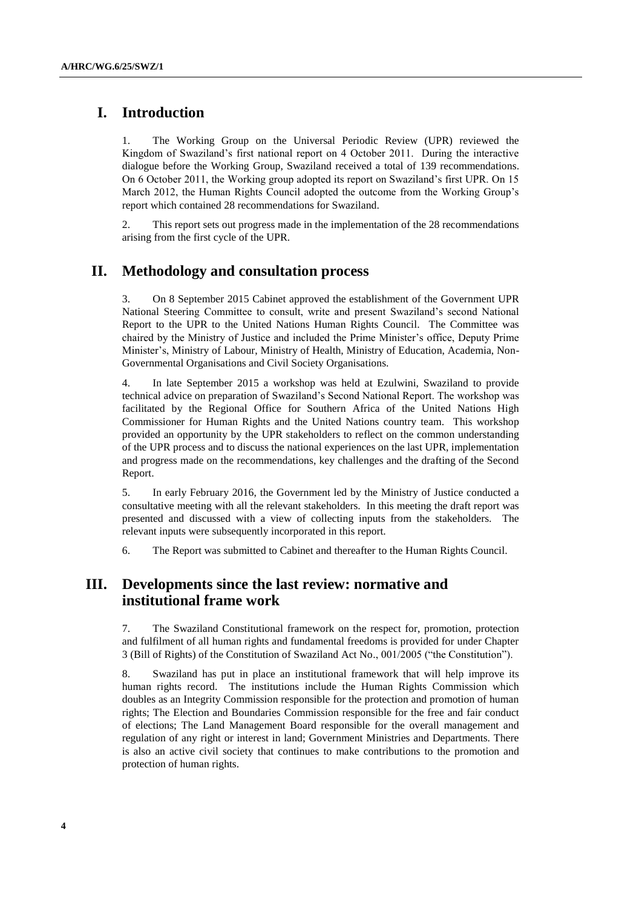## **I. Introduction**

1. The Working Group on the Universal Periodic Review (UPR) reviewed the Kingdom of Swaziland's first national report on 4 October 2011. During the interactive dialogue before the Working Group, Swaziland received a total of 139 recommendations. On 6 October 2011, the Working group adopted its report on Swaziland's first UPR. On 15 March 2012, the Human Rights Council adopted the outcome from the Working Group's report which contained 28 recommendations for Swaziland.

2. This report sets out progress made in the implementation of the 28 recommendations arising from the first cycle of the UPR.

### **II. Methodology and consultation process**

3. On 8 September 2015 Cabinet approved the establishment of the Government UPR National Steering Committee to consult, write and present Swaziland's second National Report to the UPR to the United Nations Human Rights Council. The Committee was chaired by the Ministry of Justice and included the Prime Minister's office, Deputy Prime Minister's, Ministry of Labour, Ministry of Health, Ministry of Education, Academia, Non-Governmental Organisations and Civil Society Organisations.

4. In late September 2015 a workshop was held at Ezulwini, Swaziland to provide technical advice on preparation of Swaziland's Second National Report. The workshop was facilitated by the Regional Office for Southern Africa of the United Nations High Commissioner for Human Rights and the United Nations country team. This workshop provided an opportunity by the UPR stakeholders to reflect on the common understanding of the UPR process and to discuss the national experiences on the last UPR, implementation and progress made on the recommendations, key challenges and the drafting of the Second Report.

5. In early February 2016, the Government led by the Ministry of Justice conducted a consultative meeting with all the relevant stakeholders. In this meeting the draft report was presented and discussed with a view of collecting inputs from the stakeholders. The relevant inputs were subsequently incorporated in this report.

6. The Report was submitted to Cabinet and thereafter to the Human Rights Council.

## **III. Developments since the last review: normative and institutional frame work**

7. The Swaziland Constitutional framework on the respect for, promotion, protection and fulfilment of all human rights and fundamental freedoms is provided for under Chapter 3 (Bill of Rights) of the Constitution of Swaziland Act No., 001/2005 ("the Constitution").

8. Swaziland has put in place an institutional framework that will help improve its human rights record. The institutions include the Human Rights Commission which doubles as an Integrity Commission responsible for the protection and promotion of human rights; The Election and Boundaries Commission responsible for the free and fair conduct of elections; The Land Management Board responsible for the overall management and regulation of any right or interest in land; Government Ministries and Departments. There is also an active civil society that continues to make contributions to the promotion and protection of human rights.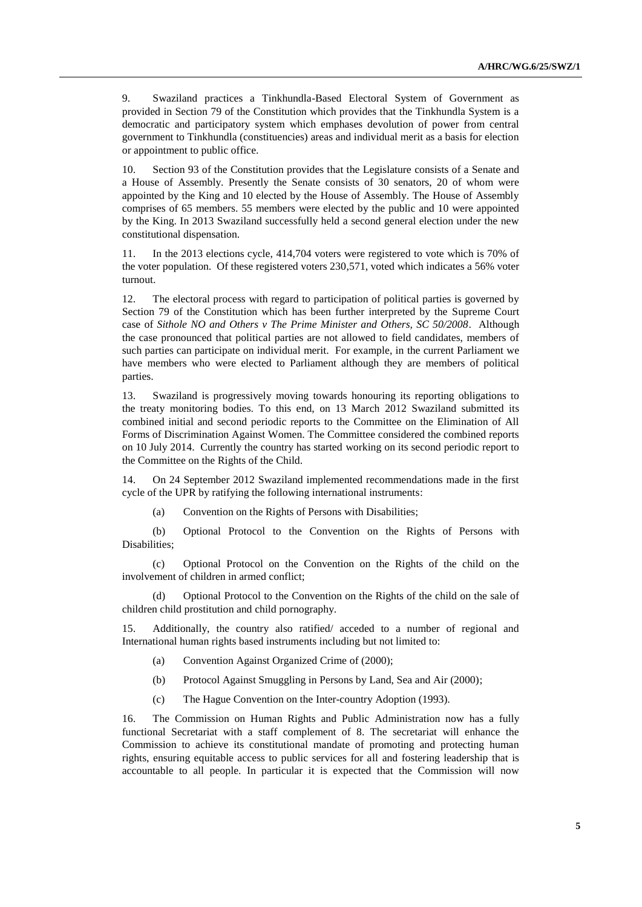9. Swaziland practices a Tinkhundla-Based Electoral System of Government as provided in Section 79 of the Constitution which provides that the Tinkhundla System is a democratic and participatory system which emphases devolution of power from central government to Tinkhundla (constituencies) areas and individual merit as a basis for election or appointment to public office.

10. Section 93 of the Constitution provides that the Legislature consists of a Senate and a House of Assembly. Presently the Senate consists of 30 senators, 20 of whom were appointed by the King and 10 elected by the House of Assembly. The House of Assembly comprises of 65 members. 55 members were elected by the public and 10 were appointed by the King. In 2013 Swaziland successfully held a second general election under the new constitutional dispensation.

In the 2013 elections cycle, 414,704 voters were registered to vote which is 70% of the voter population. Of these registered voters 230,571, voted which indicates a 56% voter turnout.

12. The electoral process with regard to participation of political parties is governed by Section 79 of the Constitution which has been further interpreted by the Supreme Court case of *Sithole NO and Others v The Prime Minister and Others, SC 50/2008*. Although the case pronounced that political parties are not allowed to field candidates, members of such parties can participate on individual merit. For example, in the current Parliament we have members who were elected to Parliament although they are members of political parties.

13. Swaziland is progressively moving towards honouring its reporting obligations to the treaty monitoring bodies. To this end, on 13 March 2012 Swaziland submitted its combined initial and second periodic reports to the Committee on the Elimination of All Forms of Discrimination Against Women. The Committee considered the combined reports on 10 July 2014. Currently the country has started working on its second periodic report to the Committee on the Rights of the Child.

14. On 24 September 2012 Swaziland implemented recommendations made in the first cycle of the UPR by ratifying the following international instruments:

(a) Convention on the Rights of Persons with Disabilities;

(b) Optional Protocol to the Convention on the Rights of Persons with Disabilities;

(c) Optional Protocol on the Convention on the Rights of the child on the involvement of children in armed conflict;

(d) Optional Protocol to the Convention on the Rights of the child on the sale of children child prostitution and child pornography.

15. Additionally, the country also ratified/ acceded to a number of regional and International human rights based instruments including but not limited to:

- (a) Convention Against Organized Crime of (2000);
- (b) Protocol Against Smuggling in Persons by Land, Sea and Air (2000);
- (c) The Hague Convention on the Inter-country Adoption (1993).

16. The Commission on Human Rights and Public Administration now has a fully functional Secretariat with a staff complement of 8. The secretariat will enhance the Commission to achieve its constitutional mandate of promoting and protecting human rights, ensuring equitable access to public services for all and fostering leadership that is accountable to all people. In particular it is expected that the Commission will now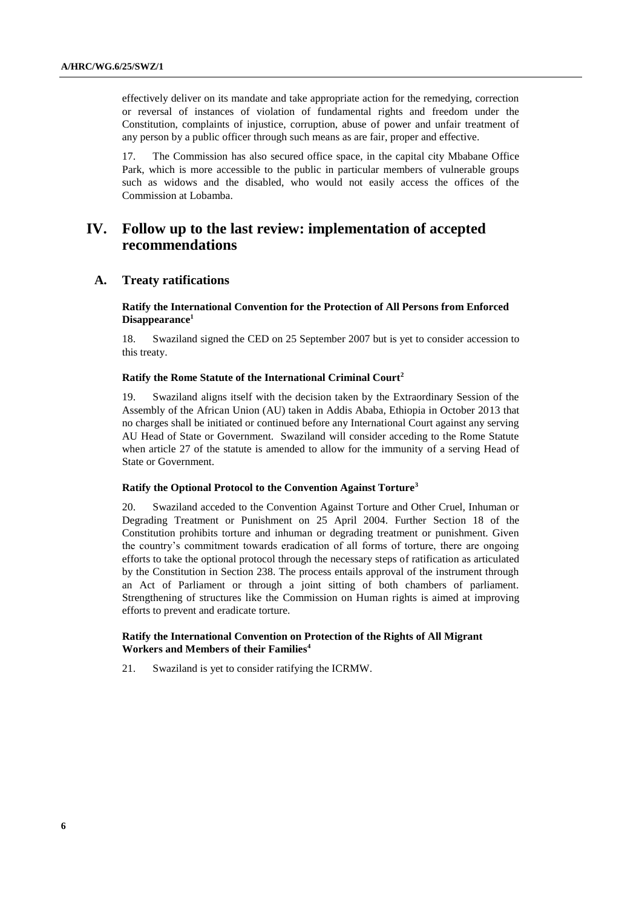effectively deliver on its mandate and take appropriate action for the remedying, correction or reversal of instances of violation of fundamental rights and freedom under the Constitution, complaints of injustice, corruption, abuse of power and unfair treatment of any person by a public officer through such means as are fair, proper and effective.

17. The Commission has also secured office space, in the capital city Mbabane Office Park, which is more accessible to the public in particular members of vulnerable groups such as widows and the disabled, who would not easily access the offices of the Commission at Lobamba.

## **IV. Follow up to the last review: implementation of accepted recommendations**

#### **A. Treaty ratifications**

#### **Ratify the International Convention for the Protection of All Persons from Enforced Disappearance<sup>1</sup>**

18. Swaziland signed the CED on 25 September 2007 but is yet to consider accession to this treaty.

#### **Ratify the Rome Statute of the International Criminal Court<sup>2</sup>**

19. Swaziland aligns itself with the decision taken by the Extraordinary Session of the Assembly of the African Union (AU) taken in Addis Ababa, Ethiopia in October 2013 that no charges shall be initiated or continued before any International Court against any serving AU Head of State or Government. Swaziland will consider acceding to the Rome Statute when article 27 of the statute is amended to allow for the immunity of a serving Head of State or Government.

#### **Ratify the Optional Protocol to the Convention Against Torture<sup>3</sup>**

20. Swaziland acceded to the Convention Against Torture and Other Cruel, Inhuman or Degrading Treatment or Punishment on 25 April 2004. Further Section 18 of the Constitution prohibits torture and inhuman or degrading treatment or punishment. Given the country's commitment towards eradication of all forms of torture, there are ongoing efforts to take the optional protocol through the necessary steps of ratification as articulated by the Constitution in Section 238. The process entails approval of the instrument through an Act of Parliament or through a joint sitting of both chambers of parliament. Strengthening of structures like the Commission on Human rights is aimed at improving efforts to prevent and eradicate torture.

#### **Ratify the International Convention on Protection of the Rights of All Migrant Workers and Members of their Families<sup>4</sup>**

21. Swaziland is yet to consider ratifying the ICRMW.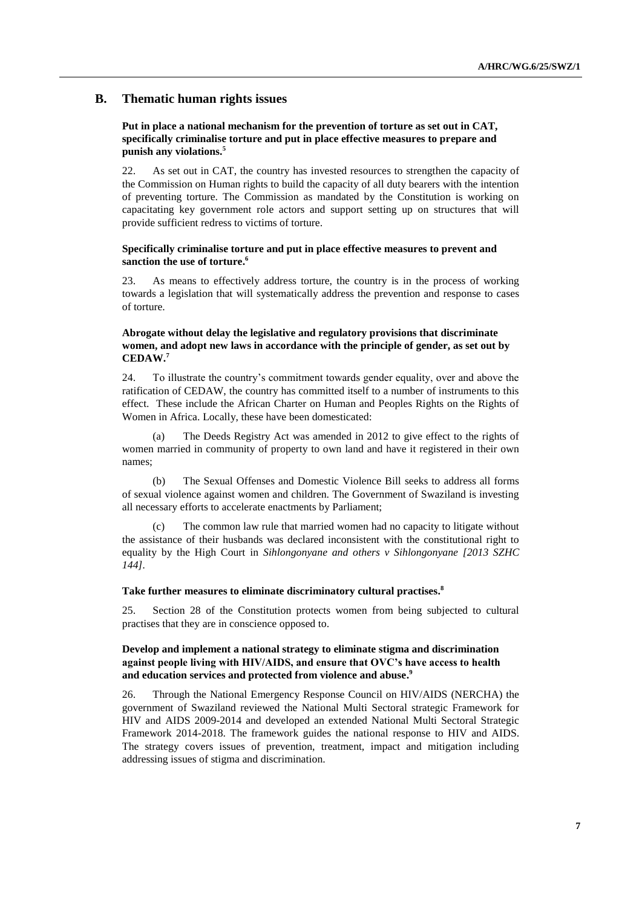#### **B. Thematic human rights issues**

#### **Put in place a national mechanism for the prevention of torture as set out in CAT, specifically criminalise torture and put in place effective measures to prepare and punish any violations.<sup>5</sup>**

22. As set out in CAT, the country has invested resources to strengthen the capacity of the Commission on Human rights to build the capacity of all duty bearers with the intention of preventing torture. The Commission as mandated by the Constitution is working on capacitating key government role actors and support setting up on structures that will provide sufficient redress to victims of torture.

#### **Specifically criminalise torture and put in place effective measures to prevent and sanction the use of torture. 6**

23. As means to effectively address torture, the country is in the process of working towards a legislation that will systematically address the prevention and response to cases of torture.

#### **Abrogate without delay the legislative and regulatory provisions that discriminate women, and adopt new laws in accordance with the principle of gender, as set out by CEDAW. 7**

24. To illustrate the country's commitment towards gender equality, over and above the ratification of CEDAW, the country has committed itself to a number of instruments to this effect. These include the African Charter on Human and Peoples Rights on the Rights of Women in Africa. Locally, these have been domesticated:

(a) The Deeds Registry Act was amended in 2012 to give effect to the rights of women married in community of property to own land and have it registered in their own names;

The Sexual Offenses and Domestic Violence Bill seeks to address all forms of sexual violence against women and children. The Government of Swaziland is investing all necessary efforts to accelerate enactments by Parliament;

(c) The common law rule that married women had no capacity to litigate without the assistance of their husbands was declared inconsistent with the constitutional right to equality by the High Court in *Sihlongonyane and others v Sihlongonyane [2013 SZHC 144].*

#### **Take further measures to eliminate discriminatory cultural practises. 8**

25. Section 28 of the Constitution protects women from being subjected to cultural practises that they are in conscience opposed to.

#### **Develop and implement a national strategy to eliminate stigma and discrimination against people living with HIV/AIDS, and ensure that OVC's have access to health and education services and protected from violence and abuse. 9**

26. Through the National Emergency Response Council on HIV/AIDS (NERCHA) the government of Swaziland reviewed the National Multi Sectoral strategic Framework for HIV and AIDS 2009-2014 and developed an extended National Multi Sectoral Strategic Framework 2014-2018. The framework guides the national response to HIV and AIDS. The strategy covers issues of prevention, treatment, impact and mitigation including addressing issues of stigma and discrimination.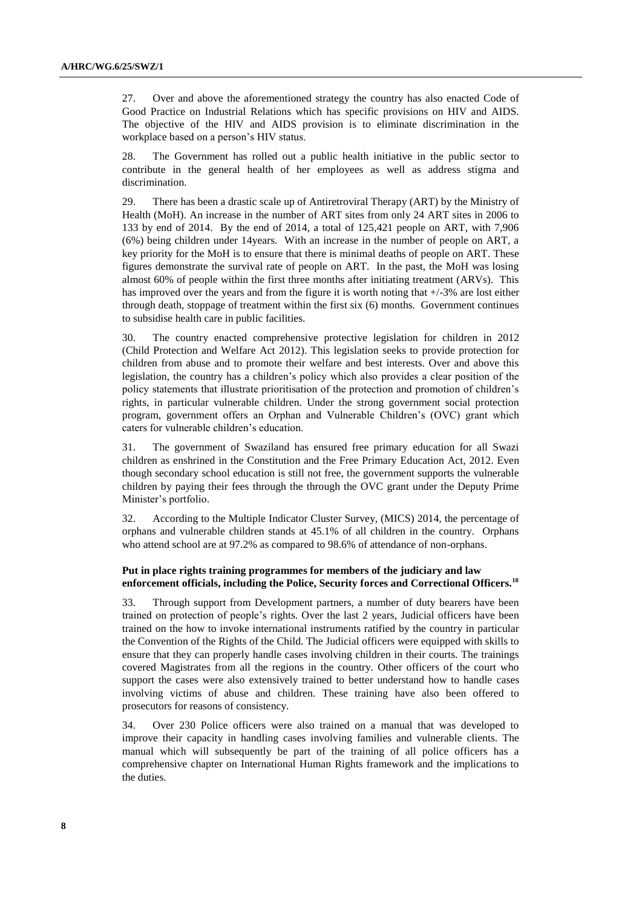27. Over and above the aforementioned strategy the country has also enacted Code of Good Practice on Industrial Relations which has specific provisions on HIV and AIDS. The objective of the HIV and AIDS provision is to eliminate discrimination in the workplace based on a person's HIV status.

28. The Government has rolled out a public health initiative in the public sector to contribute in the general health of her employees as well as address stigma and discrimination.

29. There has been a drastic scale up of Antiretroviral Therapy (ART) by the Ministry of Health (MoH). An increase in the number of ART sites from only 24 ART sites in 2006 to 133 by end of 2014. By the end of 2014, a total of 125,421 people on ART, with 7,906 (6%) being children under 14years. With an increase in the number of people on ART, a key priority for the MoH is to ensure that there is minimal deaths of people on ART. These figures demonstrate the survival rate of people on ART. In the past, the MoH was losing almost 60% of people within the first three months after initiating treatment (ARVs). This has improved over the years and from the figure it is worth noting that  $+/-3\%$  are lost either through death, stoppage of treatment within the first six (6) months. Government continues to subsidise health care in public facilities.

30. The country enacted comprehensive protective legislation for children in 2012 (Child Protection and Welfare Act 2012). This legislation seeks to provide protection for children from abuse and to promote their welfare and best interests. Over and above this legislation, the country has a children's policy which also provides a clear position of the policy statements that illustrate prioritisation of the protection and promotion of children's rights, in particular vulnerable children. Under the strong government social protection program, government offers an Orphan and Vulnerable Children's (OVC) grant which caters for vulnerable children's education.

31. The government of Swaziland has ensured free primary education for all Swazi children as enshrined in the Constitution and the Free Primary Education Act, 2012. Even though secondary school education is still not free, the government supports the vulnerable children by paying their fees through the through the OVC grant under the Deputy Prime Minister's portfolio.

32. According to the Multiple Indicator Cluster Survey, (MICS) 2014, the percentage of orphans and vulnerable children stands at 45.1% of all children in the country. Orphans who attend school are at 97.2% as compared to 98.6% of attendance of non-orphans.

#### **Put in place rights training programmes for members of the judiciary and law enforcement officials, including the Police, Security forces and Correctional Officers.<sup>10</sup>**

33. Through support from Development partners, a number of duty bearers have been trained on protection of people's rights. Over the last 2 years, Judicial officers have been trained on the how to invoke international instruments ratified by the country in particular the Convention of the Rights of the Child. The Judicial officers were equipped with skills to ensure that they can properly handle cases involving children in their courts. The trainings covered Magistrates from all the regions in the country. Other officers of the court who support the cases were also extensively trained to better understand how to handle cases involving victims of abuse and children. These training have also been offered to prosecutors for reasons of consistency.

34. Over 230 Police officers were also trained on a manual that was developed to improve their capacity in handling cases involving families and vulnerable clients. The manual which will subsequently be part of the training of all police officers has a comprehensive chapter on International Human Rights framework and the implications to the duties.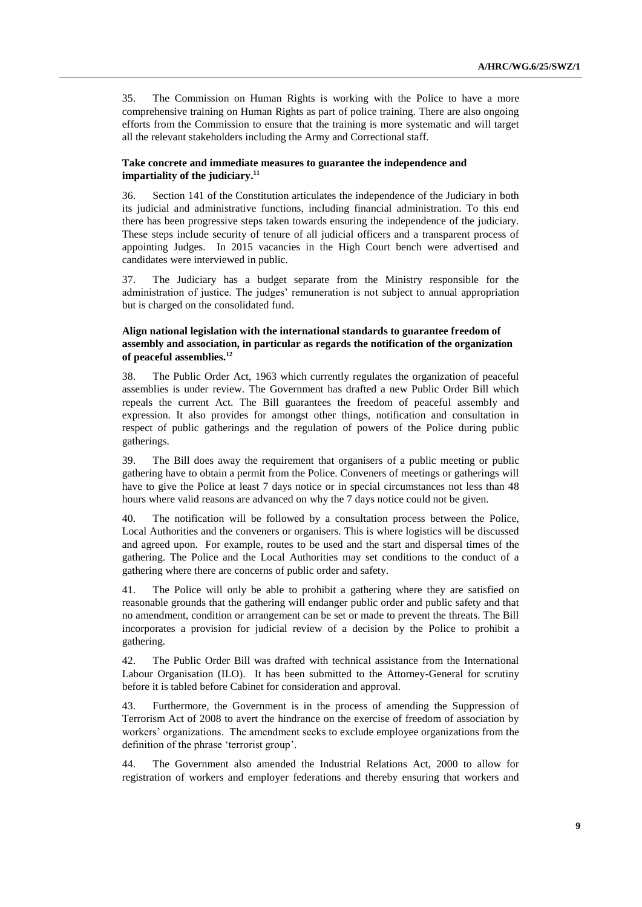35. The Commission on Human Rights is working with the Police to have a more comprehensive training on Human Rights as part of police training. There are also ongoing efforts from the Commission to ensure that the training is more systematic and will target all the relevant stakeholders including the Army and Correctional staff.

#### **Take concrete and immediate measures to guarantee the independence and impartiality of the judiciary. 11**

36. Section 141 of the Constitution articulates the independence of the Judiciary in both its judicial and administrative functions, including financial administration. To this end there has been progressive steps taken towards ensuring the independence of the judiciary. These steps include security of tenure of all judicial officers and a transparent process of appointing Judges. In 2015 vacancies in the High Court bench were advertised and candidates were interviewed in public.

37. The Judiciary has a budget separate from the Ministry responsible for the administration of justice. The judges' remuneration is not subject to annual appropriation but is charged on the consolidated fund.

#### **Align national legislation with the international standards to guarantee freedom of assembly and association, in particular as regards the notification of the organization of peaceful assemblies.<sup>12</sup>**

38. The Public Order Act, 1963 which currently regulates the organization of peaceful assemblies is under review. The Government has drafted a new Public Order Bill which repeals the current Act. The Bill guarantees the freedom of peaceful assembly and expression. It also provides for amongst other things, notification and consultation in respect of public gatherings and the regulation of powers of the Police during public gatherings.

39. The Bill does away the requirement that organisers of a public meeting or public gathering have to obtain a permit from the Police. Conveners of meetings or gatherings will have to give the Police at least 7 days notice or in special circumstances not less than 48 hours where valid reasons are advanced on why the 7 days notice could not be given.

40. The notification will be followed by a consultation process between the Police, Local Authorities and the conveners or organisers. This is where logistics will be discussed and agreed upon. For example, routes to be used and the start and dispersal times of the gathering. The Police and the Local Authorities may set conditions to the conduct of a gathering where there are concerns of public order and safety.

41. The Police will only be able to prohibit a gathering where they are satisfied on reasonable grounds that the gathering will endanger public order and public safety and that no amendment, condition or arrangement can be set or made to prevent the threats. The Bill incorporates a provision for judicial review of a decision by the Police to prohibit a gathering.

42. The Public Order Bill was drafted with technical assistance from the International Labour Organisation (ILO). It has been submitted to the Attorney-General for scrutiny before it is tabled before Cabinet for consideration and approval.

43. Furthermore, the Government is in the process of amending the Suppression of Terrorism Act of 2008 to avert the hindrance on the exercise of freedom of association by workers' organizations. The amendment seeks to exclude employee organizations from the definition of the phrase 'terrorist group'.

44. The Government also amended the Industrial Relations Act, 2000 to allow for registration of workers and employer federations and thereby ensuring that workers and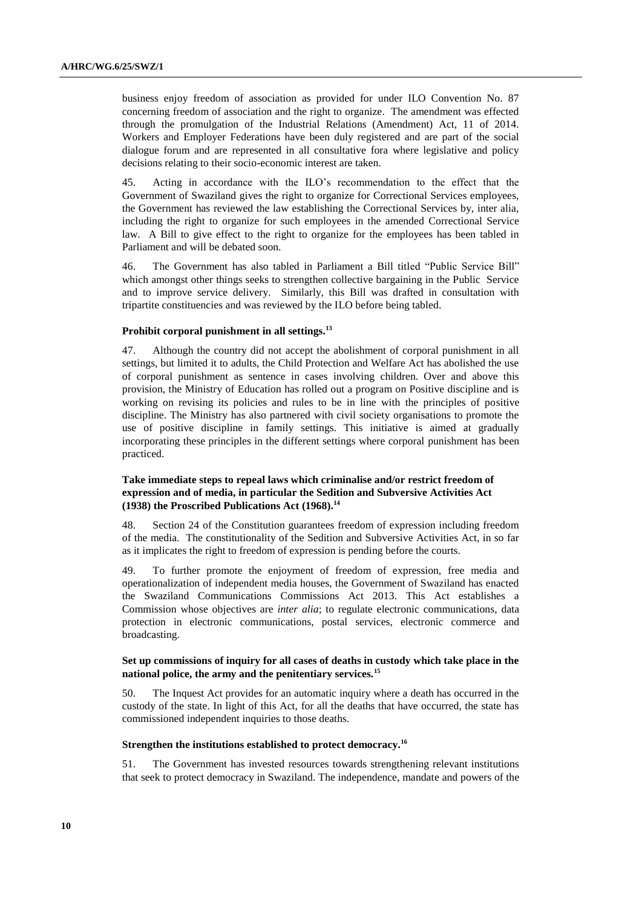business enjoy freedom of association as provided for under ILO Convention No. 87 concerning freedom of association and the right to organize. The amendment was effected through the promulgation of the Industrial Relations (Amendment) Act, 11 of 2014. Workers and Employer Federations have been duly registered and are part of the social dialogue forum and are represented in all consultative fora where legislative and policy decisions relating to their socio-economic interest are taken.

45. Acting in accordance with the ILO's recommendation to the effect that the Government of Swaziland gives the right to organize for Correctional Services employees, the Government has reviewed the law establishing the Correctional Services by, inter alia, including the right to organize for such employees in the amended Correctional Service law. A Bill to give effect to the right to organize for the employees has been tabled in Parliament and will be debated soon.

46. The Government has also tabled in Parliament a Bill titled "Public Service Bill" which amongst other things seeks to strengthen collective bargaining in the Public Service and to improve service delivery. Similarly, this Bill was drafted in consultation with tripartite constituencies and was reviewed by the ILO before being tabled.

#### **Prohibit corporal punishment in all settings.<sup>13</sup>**

47. Although the country did not accept the abolishment of corporal punishment in all settings, but limited it to adults, the Child Protection and Welfare Act has abolished the use of corporal punishment as sentence in cases involving children. Over and above this provision, the Ministry of Education has rolled out a program on Positive discipline and is working on revising its policies and rules to be in line with the principles of positive discipline. The Ministry has also partnered with civil society organisations to promote the use of positive discipline in family settings. This initiative is aimed at gradually incorporating these principles in the different settings where corporal punishment has been practiced.

#### **Take immediate steps to repeal laws which criminalise and/or restrict freedom of expression and of media, in particular the Sedition and Subversive Activities Act (1938) the Proscribed Publications Act (1968).<sup>14</sup>**

48. Section 24 of the Constitution guarantees freedom of expression including freedom of the media. The constitutionality of the Sedition and Subversive Activities Act, in so far as it implicates the right to freedom of expression is pending before the courts.

49. To further promote the enjoyment of freedom of expression, free media and operationalization of independent media houses, the Government of Swaziland has enacted the Swaziland Communications Commissions Act 2013. This Act establishes a Commission whose objectives are *inter alia*; to regulate electronic communications, data protection in electronic communications, postal services, electronic commerce and broadcasting.

#### **Set up commissions of inquiry for all cases of deaths in custody which take place in the national police, the army and the penitentiary services.<sup>15</sup>**

50. The Inquest Act provides for an automatic inquiry where a death has occurred in the custody of the state. In light of this Act, for all the deaths that have occurred, the state has commissioned independent inquiries to those deaths.

#### **Strengthen the institutions established to protect democracy.<sup>16</sup>**

51. The Government has invested resources towards strengthening relevant institutions that seek to protect democracy in Swaziland. The independence, mandate and powers of the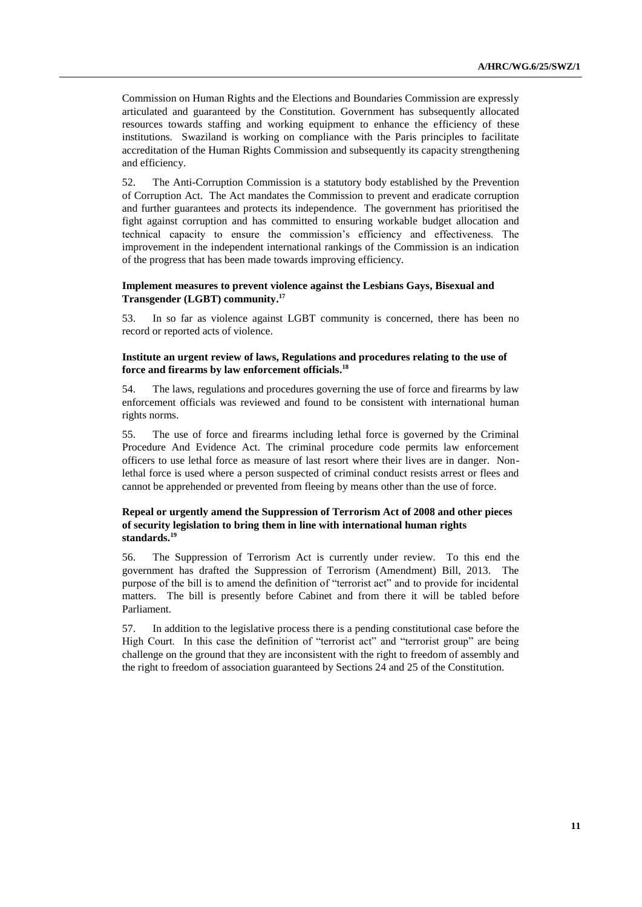Commission on Human Rights and the Elections and Boundaries Commission are expressly articulated and guaranteed by the Constitution. Government has subsequently allocated resources towards staffing and working equipment to enhance the efficiency of these institutions. Swaziland is working on compliance with the Paris principles to facilitate accreditation of the Human Rights Commission and subsequently its capacity strengthening and efficiency.

52. The Anti-Corruption Commission is a statutory body established by the Prevention of Corruption Act. The Act mandates the Commission to prevent and eradicate corruption and further guarantees and protects its independence. The government has prioritised the fight against corruption and has committed to ensuring workable budget allocation and technical capacity to ensure the commission's efficiency and effectiveness. The improvement in the independent international rankings of the Commission is an indication of the progress that has been made towards improving efficiency.

#### **Implement measures to prevent violence against the Lesbians Gays, Bisexual and Transgender (LGBT) community. 17**

53. In so far as violence against LGBT community is concerned, there has been no record or reported acts of violence.

#### **Institute an urgent review of laws, Regulations and procedures relating to the use of force and firearms by law enforcement officials. 18**

54. The laws, regulations and procedures governing the use of force and firearms by law enforcement officials was reviewed and found to be consistent with international human rights norms.

55. The use of force and firearms including lethal force is governed by the Criminal Procedure And Evidence Act. The criminal procedure code permits law enforcement officers to use lethal force as measure of last resort where their lives are in danger. Nonlethal force is used where a person suspected of criminal conduct resists arrest or flees and cannot be apprehended or prevented from fleeing by means other than the use of force.

#### **Repeal or urgently amend the Suppression of Terrorism Act of 2008 and other pieces of security legislation to bring them in line with international human rights standards. 19**

56. The Suppression of Terrorism Act is currently under review. To this end the government has drafted the Suppression of Terrorism (Amendment) Bill, 2013. The purpose of the bill is to amend the definition of "terrorist act" and to provide for incidental matters. The bill is presently before Cabinet and from there it will be tabled before Parliament.

57. In addition to the legislative process there is a pending constitutional case before the High Court. In this case the definition of "terrorist act" and "terrorist group" are being challenge on the ground that they are inconsistent with the right to freedom of assembly and the right to freedom of association guaranteed by Sections 24 and 25 of the Constitution.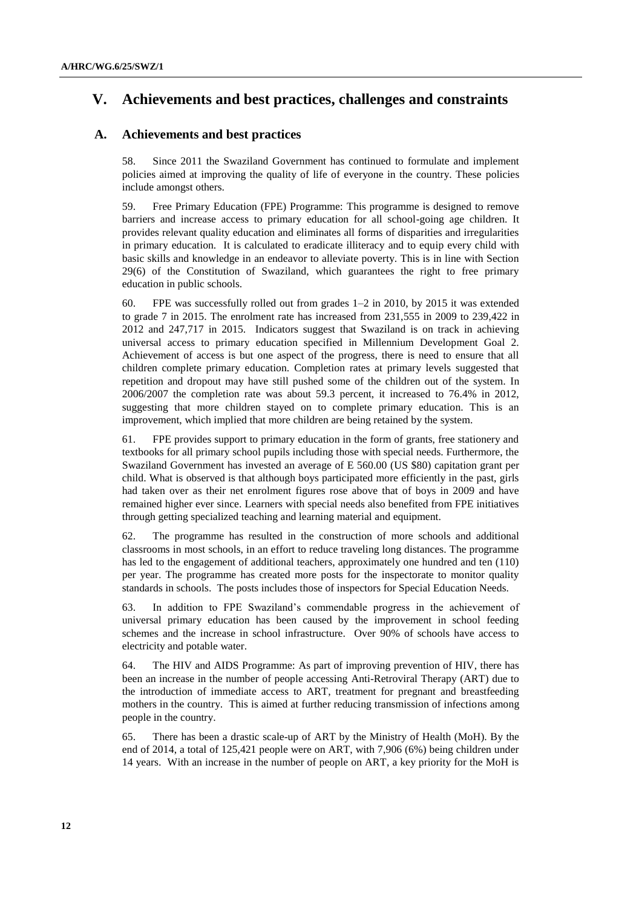## **V. Achievements and best practices, challenges and constraints**

#### **A. Achievements and best practices**

58. Since 2011 the Swaziland Government has continued to formulate and implement policies aimed at improving the quality of life of everyone in the country. These policies include amongst others.

59. Free Primary Education (FPE) Programme: This programme is designed to remove barriers and increase access to primary education for all school-going age children. It provides relevant quality education and eliminates all forms of disparities and irregularities in primary education. It is calculated to eradicate illiteracy and to equip every child with basic skills and knowledge in an endeavor to alleviate poverty. This is in line with Section 29(6) of the Constitution of Swaziland, which guarantees the right to free primary education in public schools.

60. FPE was successfully rolled out from grades 1–2 in 2010, by 2015 it was extended to grade 7 in 2015. The enrolment rate has increased from 231,555 in 2009 to 239,422 in 2012 and 247,717 in 2015. Indicators suggest that Swaziland is on track in achieving universal access to primary education specified in Millennium Development Goal 2. Achievement of access is but one aspect of the progress, there is need to ensure that all children complete primary education. Completion rates at primary levels suggested that repetition and dropout may have still pushed some of the children out of the system*.* In 2006/2007 the completion rate was about 59.3 percent, it increased to 76.4% in 2012, suggesting that more children stayed on to complete primary education. This is an improvement, which implied that more children are being retained by the system.

61. FPE provides support to primary education in the form of grants, free stationery and textbooks for all primary school pupils including those with special needs. Furthermore, the Swaziland Government has invested an average of E 560.00 (US \$80) capitation grant per child. What is observed is that although boys participated more efficiently in the past, girls had taken over as their net enrolment figures rose above that of boys in 2009 and have remained higher ever since. Learners with special needs also benefited from FPE initiatives through getting specialized teaching and learning material and equipment.

62. The programme has resulted in the construction of more schools and additional classrooms in most schools, in an effort to reduce traveling long distances. The programme has led to the engagement of additional teachers, approximately one hundred and ten (110) per year. The programme has created more posts for the inspectorate to monitor quality standards in schools. The posts includes those of inspectors for Special Education Needs.

63. In addition to FPE Swaziland's commendable progress in the achievement of universal primary education has been caused by the improvement in school feeding schemes and the increase in school infrastructure. Over 90% of schools have access to electricity and potable water.

64. The HIV and AIDS Programme: As part of improving prevention of HIV, there has been an increase in the number of people accessing Anti-Retroviral Therapy (ART) due to the introduction of immediate access to ART, treatment for pregnant and breastfeeding mothers in the country. This is aimed at further reducing transmission of infections among people in the country.

65. There has been a drastic scale-up of ART by the Ministry of Health (MoH). By the end of 2014, a total of 125,421 people were on ART, with 7,906 (6%) being children under 14 years. With an increase in the number of people on ART, a key priority for the MoH is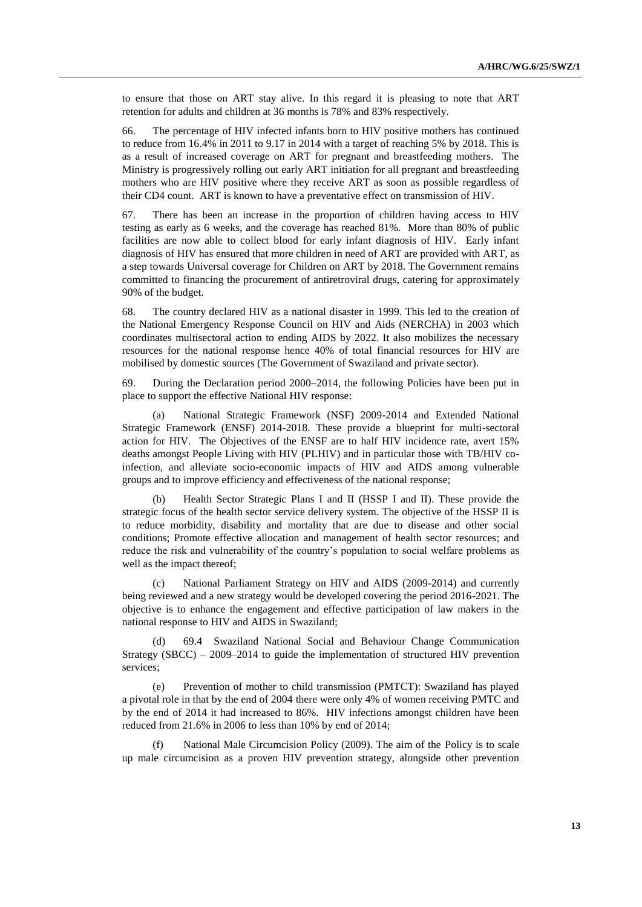to ensure that those on ART stay alive. In this regard it is pleasing to note that ART retention for adults and children at 36 months is 78% and 83% respectively.

66. The percentage of HIV infected infants born to HIV positive mothers has continued to reduce from 16.4% in 2011 to 9.17 in 2014 with a target of reaching 5% by 2018. This is as a result of increased coverage on ART for pregnant and breastfeeding mothers. The Ministry is progressively rolling out early ART initiation for all pregnant and breastfeeding mothers who are HIV positive where they receive ART as soon as possible regardless of their CD4 count. ART is known to have a preventative effect on transmission of HIV.

67. There has been an increase in the proportion of children having access to HIV testing as early as 6 weeks, and the coverage has reached 81%. More than 80% of public facilities are now able to collect blood for early infant diagnosis of HIV. Early infant diagnosis of HIV has ensured that more children in need of ART are provided with ART, as a step towards Universal coverage for Children on ART by 2018. The Government remains committed to financing the procurement of antiretroviral drugs, catering for approximately 90% of the budget.

68. The country declared HIV as a national disaster in 1999. This led to the creation of the National Emergency Response Council on HIV and Aids (NERCHA) in 2003 which coordinates multisectoral action to ending AIDS by 2022. It also mobilizes the necessary resources for the national response hence 40% of total financial resources for HIV are mobilised by domestic sources (The Government of Swaziland and private sector).

69. During the Declaration period 2000–2014, the following Policies have been put in place to support the effective National HIV response:

(a) National Strategic Framework (NSF) 2009-2014 and Extended National Strategic Framework (ENSF) 2014-2018. These provide a blueprint for multi-sectoral action for HIV. The Objectives of the ENSF are to half HIV incidence rate, avert 15% deaths amongst People Living with HIV (PLHIV) and in particular those with TB/HIV coinfection, and alleviate socio-economic impacts of HIV and AIDS among vulnerable groups and to improve efficiency and effectiveness of the national response;

(b) Health Sector Strategic Plans I and II (HSSP I and II). These provide the strategic focus of the health sector service delivery system. The objective of the HSSP II is to reduce morbidity, disability and mortality that are due to disease and other social conditions; Promote effective allocation and management of health sector resources; and reduce the risk and vulnerability of the country's population to social welfare problems as well as the impact thereof;

(c) National Parliament Strategy on HIV and AIDS (2009-2014) and currently being reviewed and a new strategy would be developed covering the period 2016-2021. The objective is to enhance the engagement and effective participation of law makers in the national response to HIV and AIDS in Swaziland;

(d) 69.4 Swaziland National Social and Behaviour Change Communication Strategy (SBCC) – 2009–2014 to guide the implementation of structured HIV prevention services;

(e) Prevention of mother to child transmission (PMTCT): Swaziland has played a pivotal role in that by the end of 2004 there were only 4% of women receiving PMTC and by the end of 2014 it had increased to 86%. HIV infections amongst children have been reduced from 21.6% in 2006 to less than 10% by end of 2014;

National Male Circumcision Policy (2009). The aim of the Policy is to scale up male circumcision as a proven HIV prevention strategy, alongside other prevention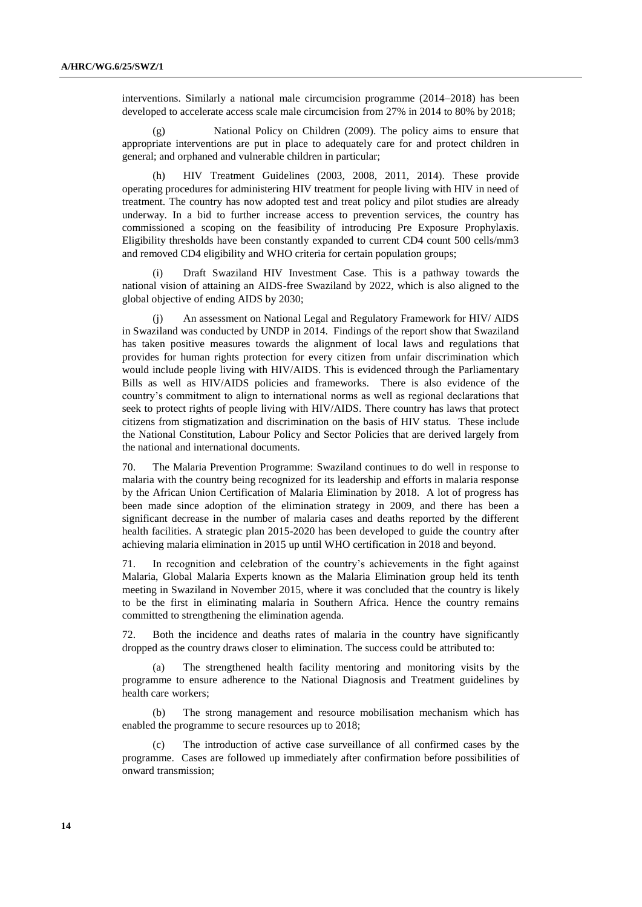interventions. Similarly a national male circumcision programme (2014–2018) has been developed to accelerate access scale male circumcision from 27% in 2014 to 80% by 2018;

(g) National Policy on Children (2009). The policy aims to ensure that appropriate interventions are put in place to adequately care for and protect children in general; and orphaned and vulnerable children in particular;

(h) HIV Treatment Guidelines (2003, 2008, 2011, 2014). These provide operating procedures for administering HIV treatment for people living with HIV in need of treatment. The country has now adopted test and treat policy and pilot studies are already underway. In a bid to further increase access to prevention services, the country has commissioned a scoping on the feasibility of introducing Pre Exposure Prophylaxis. Eligibility thresholds have been constantly expanded to current CD4 count 500 cells/mm3 and removed CD4 eligibility and WHO criteria for certain population groups;

(i) Draft Swaziland HIV Investment Case. This is a pathway towards the national vision of attaining an AIDS-free Swaziland by 2022, which is also aligned to the global objective of ending AIDS by 2030;

(j) An assessment on National Legal and Regulatory Framework for HIV/ AIDS in Swaziland was conducted by UNDP in 2014. Findings of the report show that Swaziland has taken positive measures towards the alignment of local laws and regulations that provides for human rights protection for every citizen from unfair discrimination which would include people living with HIV/AIDS. This is evidenced through the Parliamentary Bills as well as HIV/AIDS policies and frameworks. There is also evidence of the country's commitment to align to international norms as well as regional declarations that seek to protect rights of people living with HIV/AIDS. There country has laws that protect citizens from stigmatization and discrimination on the basis of HIV status. These include the National Constitution, Labour Policy and Sector Policies that are derived largely from the national and international documents.

70. The Malaria Prevention Programme: Swaziland continues to do well in response to malaria with the country being recognized for its leadership and efforts in malaria response by the African Union Certification of Malaria Elimination by 2018. A lot of progress has been made since adoption of the elimination strategy in 2009, and there has been a significant decrease in the number of malaria cases and deaths reported by the different health facilities. A strategic plan 2015-2020 has been developed to guide the country after achieving malaria elimination in 2015 up until WHO certification in 2018 and beyond.

71. In recognition and celebration of the country's achievements in the fight against Malaria, Global Malaria Experts known as the Malaria Elimination group held its tenth meeting in Swaziland in November 2015, where it was concluded that the country is likely to be the first in eliminating malaria in Southern Africa. Hence the country remains committed to strengthening the elimination agenda.

72. Both the incidence and deaths rates of malaria in the country have significantly dropped as the country draws closer to elimination. The success could be attributed to:

The strengthened health facility mentoring and monitoring visits by the programme to ensure adherence to the National Diagnosis and Treatment guidelines by health care workers;

(b) The strong management and resource mobilisation mechanism which has enabled the programme to secure resources up to 2018;

(c) The introduction of active case surveillance of all confirmed cases by the programme. Cases are followed up immediately after confirmation before possibilities of onward transmission;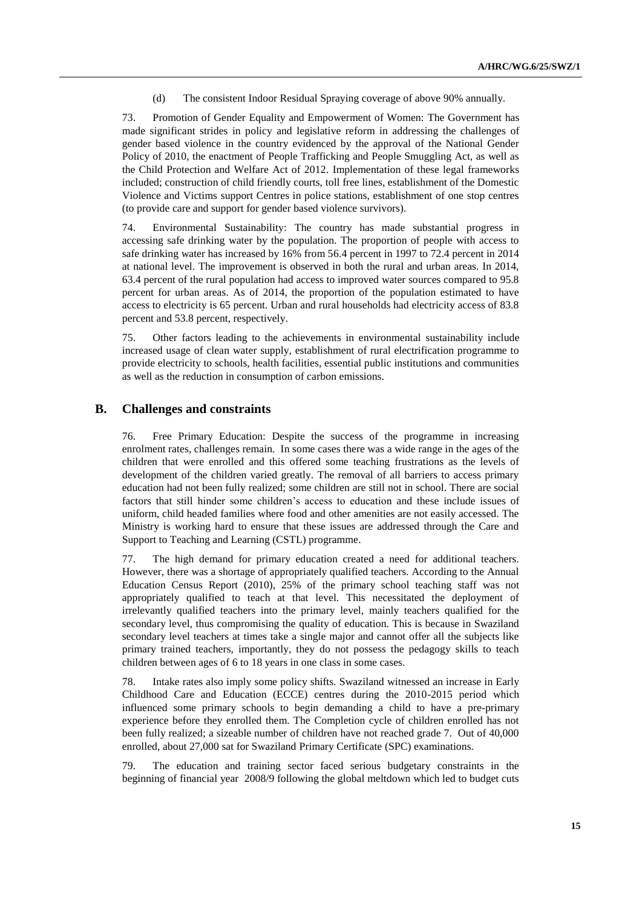(d) The consistent Indoor Residual Spraying coverage of above 90% annually.

73. Promotion of Gender Equality and Empowerment of Women: The Government has made significant strides in policy and legislative reform in addressing the challenges of gender based violence in the country evidenced by the approval of the National Gender Policy of 2010, the enactment of People Trafficking and People Smuggling Act, as well as the Child Protection and Welfare Act of 2012. Implementation of these legal frameworks included; construction of child friendly courts, toll free lines, establishment of the Domestic Violence and Victims support Centres in police stations, establishment of one stop centres (to provide care and support for gender based violence survivors).

74. Environmental Sustainability: The country has made substantial progress in accessing safe drinking water by the population. The proportion of people with access to safe drinking water has increased by 16% from 56.4 percent in 1997 to 72.4 percent in 2014 at national level. The improvement is observed in both the rural and urban areas. In 2014, 63.4 percent of the rural population had access to improved water sources compared to 95.8 percent for urban areas. As of 2014, the proportion of the population estimated to have access to electricity is 65 percent. Urban and rural households had electricity access of 83.8 percent and 53.8 percent, respectively.

75. Other factors leading to the achievements in environmental sustainability include increased usage of clean water supply, establishment of rural electrification programme to provide electricity to schools, health facilities, essential public institutions and communities as well as the reduction in consumption of carbon emissions.

#### **B. Challenges and constraints**

76. Free Primary Education: Despite the success of the programme in increasing enrolment rates, challenges remain. In some cases there was a wide range in the ages of the children that were enrolled and this offered some teaching frustrations as the levels of development of the children varied greatly. The removal of all barriers to access primary education had not been fully realized; some children are still not in school. There are social factors that still hinder some children's access to education and these include issues of uniform, child headed families where food and other amenities are not easily accessed. The Ministry is working hard to ensure that these issues are addressed through the Care and Support to Teaching and Learning (CSTL) programme.

77. The high demand for primary education created a need for additional teachers. However, there was a shortage of appropriately qualified teachers. According to the Annual Education Census Report (2010), 25% of the primary school teaching staff was not appropriately qualified to teach at that level. This necessitated the deployment of irrelevantly qualified teachers into the primary level, mainly teachers qualified for the secondary level, thus compromising the quality of education. This is because in Swaziland secondary level teachers at times take a single major and cannot offer all the subjects like primary trained teachers, importantly, they do not possess the pedagogy skills to teach children between ages of 6 to 18 years in one class in some cases.

78. Intake rates also imply some policy shifts. Swaziland witnessed an increase in Early Childhood Care and Education (ECCE) centres during the 2010-2015 period which influenced some primary schools to begin demanding a child to have a pre-primary experience before they enrolled them. The Completion cycle of children enrolled has not been fully realized; a sizeable number of children have not reached grade 7. Out of 40,000 enrolled, about 27,000 sat for Swaziland Primary Certificate (SPC) examinations.

79. The education and training sector faced serious budgetary constraints in the beginning of financial year 2008/9 following the global meltdown which led to budget cuts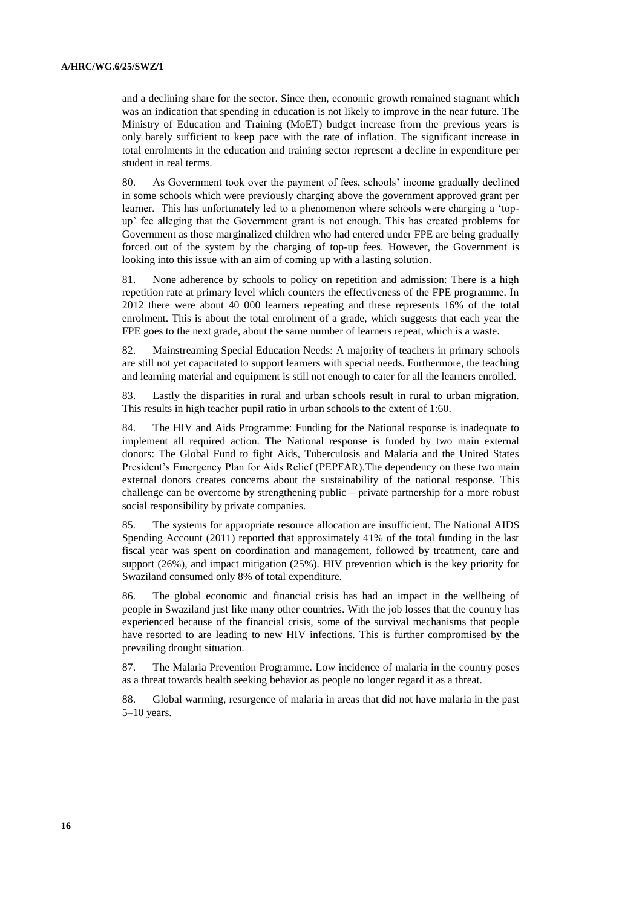and a declining share for the sector. Since then, economic growth remained stagnant which was an indication that spending in education is not likely to improve in the near future. The Ministry of Education and Training (MoET) budget increase from the previous years is only barely sufficient to keep pace with the rate of inflation. The significant increase in total enrolments in the education and training sector represent a decline in expenditure per student in real terms.

80. As Government took over the payment of fees, schools' income gradually declined in some schools which were previously charging above the government approved grant per learner. This has unfortunately led to a phenomenon where schools were charging a 'topup' fee alleging that the Government grant is not enough. This has created problems for Government as those marginalized children who had entered under FPE are being gradually forced out of the system by the charging of top-up fees. However, the Government is looking into this issue with an aim of coming up with a lasting solution.

81. None adherence by schools to policy on repetition and admission: There is a high repetition rate at primary level which counters the effectiveness of the FPE programme. In 2012 there were about 40 000 learners repeating and these represents 16% of the total enrolment. This is about the total enrolment of a grade, which suggests that each year the FPE goes to the next grade, about the same number of learners repeat, which is a waste.

82. Mainstreaming Special Education Needs: A majority of teachers in primary schools are still not yet capacitated to support learners with special needs. Furthermore, the teaching and learning material and equipment is still not enough to cater for all the learners enrolled.

83. Lastly the disparities in rural and urban schools result in rural to urban migration. This results in high teacher pupil ratio in urban schools to the extent of 1:60.

84. The HIV and Aids Programme: Funding for the National response is inadequate to implement all required action. The National response is funded by two main external donors: The Global Fund to fight Aids, Tuberculosis and Malaria and the United States President's Emergency Plan for Aids Relief (PEPFAR).The dependency on these two main external donors creates concerns about the sustainability of the national response. This challenge can be overcome by strengthening public – private partnership for a more robust social responsibility by private companies.

85. The systems for appropriate resource allocation are insufficient. The National AIDS Spending Account (2011) reported that approximately 41% of the total funding in the last fiscal year was spent on coordination and management, followed by treatment, care and support (26%), and impact mitigation (25%). HIV prevention which is the key priority for Swaziland consumed only 8% of total expenditure.

86. The global economic and financial crisis has had an impact in the wellbeing of people in Swaziland just like many other countries. With the job losses that the country has experienced because of the financial crisis, some of the survival mechanisms that people have resorted to are leading to new HIV infections. This is further compromised by the prevailing drought situation.

87. The Malaria Prevention Programme. Low incidence of malaria in the country poses as a threat towards health seeking behavior as people no longer regard it as a threat.

88. Global warming, resurgence of malaria in areas that did not have malaria in the past 5–10 years.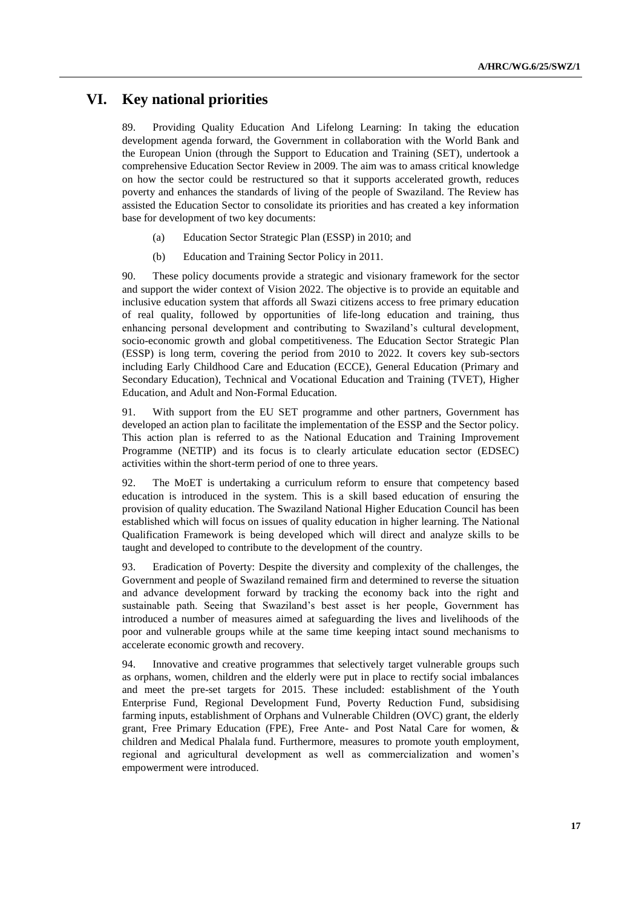## **VI. Key national priorities**

89. Providing Quality Education And Lifelong Learning: In taking the education development agenda forward, the Government in collaboration with the World Bank and the European Union (through the Support to Education and Training (SET), undertook a comprehensive Education Sector Review in 2009. The aim was to amass critical knowledge on how the sector could be restructured so that it supports accelerated growth, reduces poverty and enhances the standards of living of the people of Swaziland. The Review has assisted the Education Sector to consolidate its priorities and has created a key information base for development of two key documents:

- (a) Education Sector Strategic Plan (ESSP) in 2010; and
- (b) Education and Training Sector Policy in 2011.

90. These policy documents provide a strategic and visionary framework for the sector and support the wider context of Vision 2022. The objective is to provide an equitable and inclusive education system that affords all Swazi citizens access to free primary education of real quality, followed by opportunities of life-long education and training, thus enhancing personal development and contributing to Swaziland's cultural development, socio-economic growth and global competitiveness. The Education Sector Strategic Plan (ESSP) is long term, covering the period from 2010 to 2022. It covers key sub-sectors including Early Childhood Care and Education (ECCE), General Education (Primary and Secondary Education), Technical and Vocational Education and Training (TVET), Higher Education, and Adult and Non-Formal Education.

91. With support from the EU SET programme and other partners, Government has developed an action plan to facilitate the implementation of the ESSP and the Sector policy. This action plan is referred to as the National Education and Training Improvement Programme (NETIP) and its focus is to clearly articulate education sector (EDSEC) activities within the short-term period of one to three years.

92. The MoET is undertaking a curriculum reform to ensure that competency based education is introduced in the system. This is a skill based education of ensuring the provision of quality education. The Swaziland National Higher Education Council has been established which will focus on issues of quality education in higher learning. The National Qualification Framework is being developed which will direct and analyze skills to be taught and developed to contribute to the development of the country.

93. Eradication of Poverty: Despite the diversity and complexity of the challenges, the Government and people of Swaziland remained firm and determined to reverse the situation and advance development forward by tracking the economy back into the right and sustainable path. Seeing that Swaziland's best asset is her people, Government has introduced a number of measures aimed at safeguarding the lives and livelihoods of the poor and vulnerable groups while at the same time keeping intact sound mechanisms to accelerate economic growth and recovery.

94. Innovative and creative programmes that selectively target vulnerable groups such as orphans, women, children and the elderly were put in place to rectify social imbalances and meet the pre-set targets for 2015. These included: establishment of the Youth Enterprise Fund, Regional Development Fund, Poverty Reduction Fund, subsidising farming inputs, establishment of Orphans and Vulnerable Children (OVC) grant, the elderly grant, Free Primary Education (FPE), Free Ante- and Post Natal Care for women, & children and Medical Phalala fund. Furthermore, measures to promote youth employment, regional and agricultural development as well as commercialization and women's empowerment were introduced.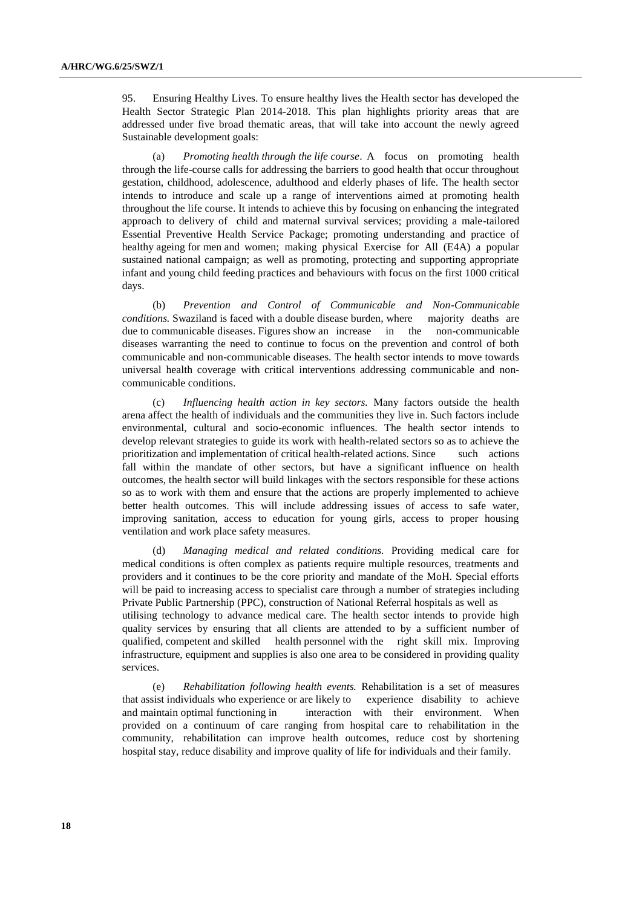95. Ensuring Healthy Lives. To ensure healthy lives the Health sector has developed the Health Sector Strategic Plan 2014-2018. This plan highlights priority areas that are addressed under five broad thematic areas, that will take into account the newly agreed Sustainable development goals:

(a) *Promoting health through the life course*. A focus on promoting health through the life-course calls for addressing the barriers to good health that occur throughout gestation, childhood, adolescence, adulthood and elderly phases of life. The health sector intends to introduce and scale up a range of interventions aimed at promoting health throughout the life course. It intends to achieve this by focusing on enhancing the integrated approach to delivery of child and maternal survival services; providing a male-tailored Essential Preventive Health Service Package; promoting understanding and practice of healthy ageing for men and women; making physical Exercise for All (E4A) a popular sustained national campaign; as well as promoting, protecting and supporting appropriate infant and young child feeding practices and behaviours with focus on the first 1000 critical days.

(b) *Prevention and Control of Communicable and Non-Communicable conditions.* Swaziland is faced with a double disease burden, where majority deaths are due to communicable diseases. Figures show an increase in the non-communicable diseases warranting the need to continue to focus on the prevention and control of both communicable and non-communicable diseases. The health sector intends to move towards universal health coverage with critical interventions addressing communicable and noncommunicable conditions.

(c) *Influencing health action in key sectors.* Many factors outside the health arena affect the health of individuals and the communities they live in. Such factors include environmental, cultural and socio-economic influences. The health sector intends to develop relevant strategies to guide its work with health-related sectors so as to achieve the prioritization and implementation of critical health-related actions. Since such actions fall within the mandate of other sectors, but have a significant influence on health outcomes, the health sector will build linkages with the sectors responsible for these actions so as to work with them and ensure that the actions are properly implemented to achieve better health outcomes. This will include addressing issues of access to safe water, improving sanitation, access to education for young girls, access to proper housing ventilation and work place safety measures.

(d) *Managing medical and related conditions.* Providing medical care for medical conditions is often complex as patients require multiple resources, treatments and providers and it continues to be the core priority and mandate of the MoH. Special efforts will be paid to increasing access to specialist care through a number of strategies including Private Public Partnership (PPC), construction of National Referral hospitals as well as utilising technology to advance medical care. The health sector intends to provide high quality services by ensuring that all clients are attended to by a sufficient number of qualified, competent and skilled health personnel with the right skill mix. Improving infrastructure, equipment and supplies is also one area to be considered in providing quality services.

(e) *Rehabilitation following health events.* Rehabilitation is a set of measures that assist individuals who experience or are likely to experience disability to achieve and maintain optimal functioning in interaction with their environment. When provided on a continuum of care ranging from hospital care to rehabilitation in the community, rehabilitation can improve health outcomes, reduce cost by shortening hospital stay, reduce disability and improve quality of life for individuals and their family.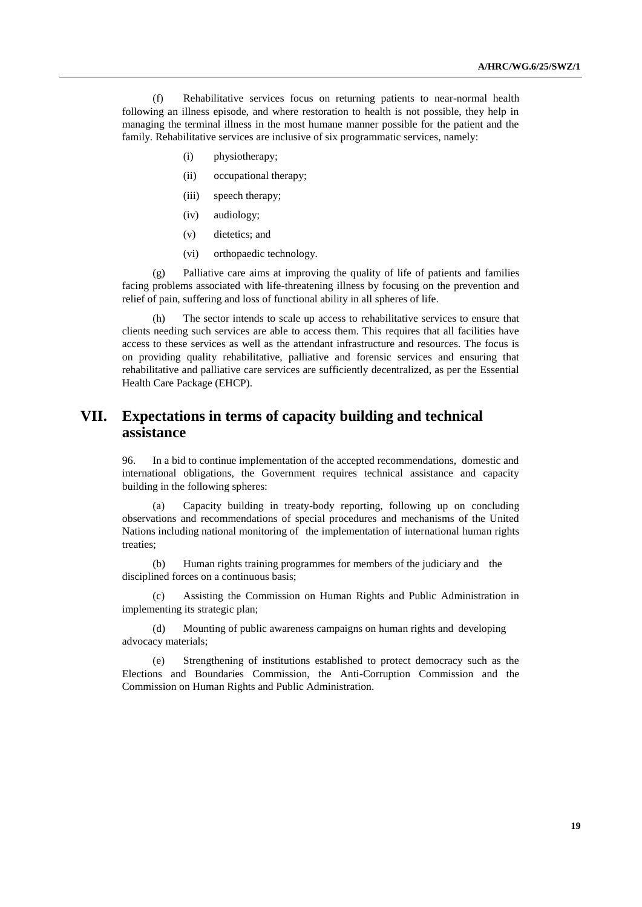(f) Rehabilitative services focus on returning patients to near-normal health following an illness episode, and where restoration to health is not possible, they help in managing the terminal illness in the most humane manner possible for the patient and the family. Rehabilitative services are inclusive of six programmatic services, namely:

- (i) physiotherapy;
- (ii) occupational therapy;
- (iii) speech therapy;
- (iv) audiology;
- (v) dietetics; and
- (vi) orthopaedic technology.

(g) Palliative care aims at improving the quality of life of patients and families facing problems associated with life-threatening illness by focusing on the prevention and relief of pain, suffering and loss of functional ability in all spheres of life.

(h) The sector intends to scale up access to rehabilitative services to ensure that clients needing such services are able to access them. This requires that all facilities have access to these services as well as the attendant infrastructure and resources. The focus is on providing quality rehabilitative, palliative and forensic services and ensuring that rehabilitative and palliative care services are sufficiently decentralized, as per the Essential Health Care Package (EHCP).

## **VII. Expectations in terms of capacity building and technical assistance**

96. In a bid to continue implementation of the accepted recommendations, domestic and international obligations, the Government requires technical assistance and capacity building in the following spheres:

(a) Capacity building in treaty-body reporting, following up on concluding observations and recommendations of special procedures and mechanisms of the United Nations including national monitoring of the implementation of international human rights treaties;

(b) Human rights training programmes for members of the judiciary and the disciplined forces on a continuous basis;

(c) Assisting the Commission on Human Rights and Public Administration in implementing its strategic plan;

(d) Mounting of public awareness campaigns on human rights and developing advocacy materials;

(e) Strengthening of institutions established to protect democracy such as the Elections and Boundaries Commission, the Anti-Corruption Commission and the Commission on Human Rights and Public Administration.